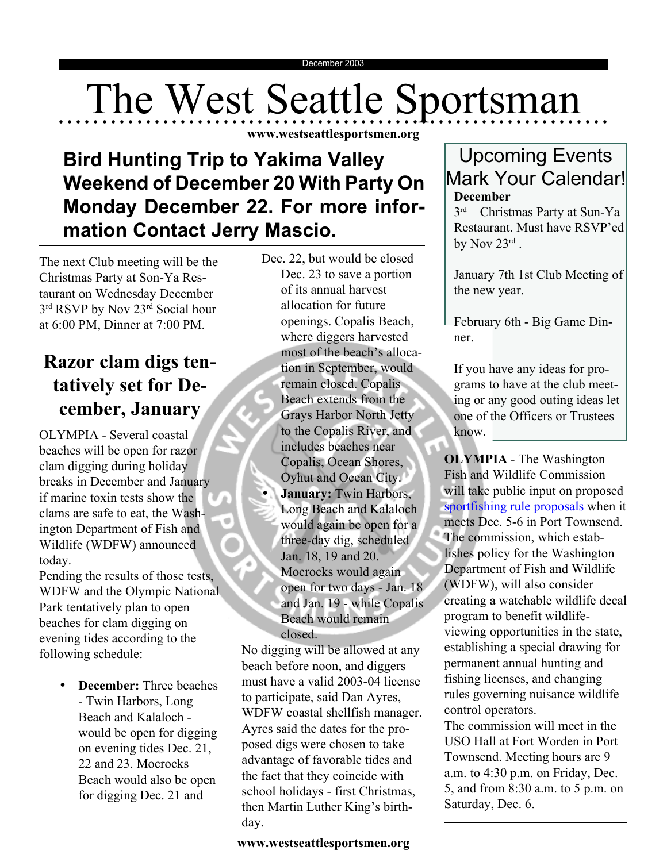# The West Seattle Sportsman

**www.westseattlesportsmen.org**

# **Bird Hunting Trip to Yakima Valley Weekend of December 20 With Party On Monday December 22. For more information Contact Jerry Mascio.**

The next Club meeting will be the Christmas Party at Son-Ya Restaurant on Wednesday December 3<sup>rd</sup> RSVP by Nov 23<sup>rd</sup> Social hour at 6:00 PM, Dinner at 7:00 PM.

### **Razor clam digs tentatively set for December, January**

OLYMPIA - Several coastal beaches will be open for razor clam digging during holiday breaks in December and January if marine toxin tests show the clams are safe to eat, the Washington Department of Fish and Wildlife (WDFW) announced today.

Pending the results of those tests, WDFW and the Olympic National Park tentatively plan to open beaches for clam digging on evening tides according to the following schedule:

> • **December:** Three beaches - Twin Harbors, Long Beach and Kalaloch would be open for digging on evening tides Dec. 21, 22 and 23. Mocrocks Beach would also be open for digging Dec. 21 and

Dec. 22, but would be closed Dec. 23 to save a portion of its annual harvest allocation for future openings. Copalis Beach, where diggers harvested most of the beach's allocation in September, would remain closed. Copalis Beach extends from the Grays Harbor North Jetty to the Copalis River, and includes beaches near Copalis, Ocean Shores, Oyhut and Ocean City. • **January:** Twin Harbors, Long Beach and Kalaloch would again be open for a three-day dig, scheduled Jan. 18, 19 and 20. Mocrocks would again open for two days - Jan. 18 and Jan. 19 - while Copalis Beach would remain closed.

No digging will be allowed at any beach before noon, and diggers must have a valid 2003-04 license to participate, said Dan Ayres, WDFW coastal shellfish manager. Ayres said the dates for the proposed digs were chosen to take advantage of favorable tides and the fact that they coincide with school holidays - first Christmas, then Martin Luther King's birthday.

#### **www.westseattlesportsmen.org**

#### Upcoming Events Mark Your Calendar! **December**

3rd – Christmas Party at Sun-Ya Restaurant. Must have RSVP'ed by Nov 23rd.

January 7th 1st Club Meeting of the new year.

February 6th - Big Game Dinner.

If you have any ideas for programs to have at the club meeting or any good outing ideas let one of the Officers or Trustees know.

**OLYMPIA** - The Washington Fish and Wildlife Commission will take public input on proposed sportfishing rule proposals when it meets Dec. 5-6 in Port Townsend. The commission, which establishes policy for the Washington Department of Fish and Wildlife (WDFW), will also consider creating a watchable wildlife decal program to benefit wildlifeviewing opportunities in the state, establishing a special drawing for permanent annual hunting and fishing licenses, and changing rules governing nuisance wildlife control operators.

The commission will meet in the USO Hall at Fort Worden in Port Townsend. Meeting hours are 9 a.m. to 4:30 p.m. on Friday, Dec. 5, and from 8:30 a.m. to 5 p.m. on Saturday, Dec. 6.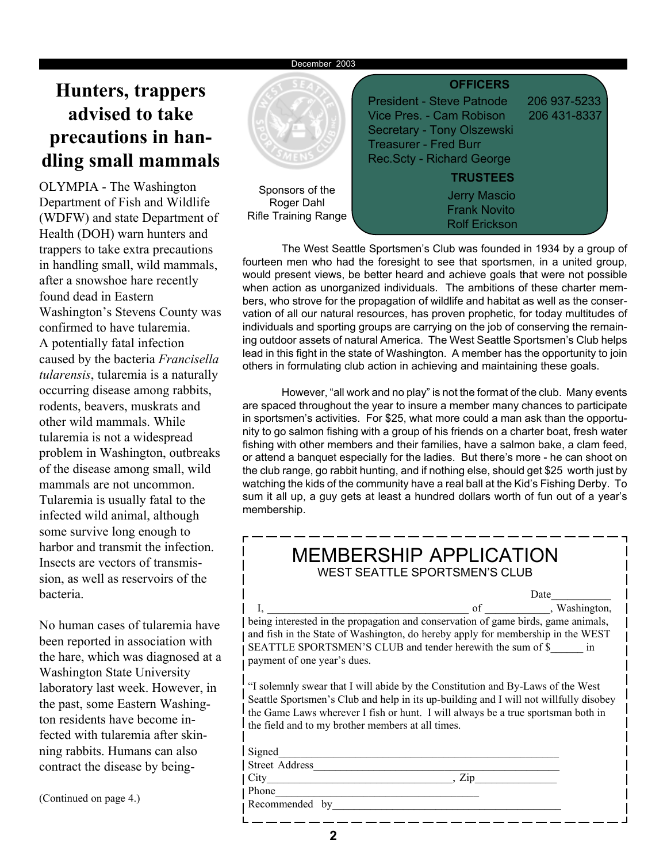#### December 2003

## **Hunters, trappers advised to take precautions in handling small mammals**

OLYMPIA - The Washington Department of Fish and Wildlife (WDFW) and state Department of Health (DOH) warn hunters and trappers to take extra precautions in handling small, wild mammals, after a snowshoe hare recently found dead in Eastern Washington's Stevens County was confirmed to have tularemia. A potentially fatal infection caused by the bacteria *Francisella tularensis*, tularemia is a naturally occurring disease among rabbits, rodents, beavers, muskrats and other wild mammals. While tularemia is not a widespread problem in Washington, outbreaks of the disease among small, wild mammals are not uncommon. Tularemia is usually fatal to the infected wild animal, although some survive long enough to harbor and transmit the infection. Insects are vectors of transmission, as well as reservoirs of the bacteria.

No human cases of tularemia have been reported in association with the hare, which was diagnosed at a Washington State University laboratory last week. However, in the past, some Eastern Washington residents have become infected with tularemia after skinning rabbits. Humans can also contract the disease by being-

(Continued on page 4.)



Sponsors of Roger Dahl Rifle Training R

|              | <b>OFFICERS</b>                                                                                |                              |
|--------------|------------------------------------------------------------------------------------------------|------------------------------|
|              | <b>President - Steve Patnode</b><br>Vice Pres. - Cam Robison                                   | 206 937-5233<br>206 431-8337 |
|              | Secretary - Tony Olszewski<br><b>Treasurer - Fred Burr</b><br><b>Rec.Scty - Richard George</b> |                              |
|              | <b>TRUSTEES</b>                                                                                |                              |
| the<br>≀ange | <b>Jerry Mascio</b><br><b>Frank Novito</b><br><b>Rolf Erickson</b>                             |                              |

The West Seattle Sportsmen's Club was founded in 1934 by a group of fourteen men who had the foresight to see that sportsmen, in a united group, would present views, be better heard and achieve goals that were not possible when action as unorganized individuals. The ambitions of these charter members, who strove for the propagation of wildlife and habitat as well as the conservation of all our natural resources, has proven prophetic, for today multitudes of individuals and sporting groups are carrying on the job of conserving the remaining outdoor assets of natural America. The West Seattle Sportsmen's Club helps lead in this fight in the state of Washington. A member has the opportunity to join others in formulating club action in achieving and maintaining these goals.

However, "all work and no play" is not the format of the club. Many events are spaced throughout the year to insure a member many chances to participate in sportsmen's activities. For \$25, what more could a man ask than the opportunity to go salmon fishing with a group of his friends on a charter boat, fresh water fishing with other members and their families, have a salmon bake, a clam feed, or attend a banquet especially for the ladies. But there's more - he can shoot on the club range, go rabbit hunting, and if nothing else, should get \$25 worth just by watching the kids of the community have a real ball at the Kid's Fishing Derby. To sum it all up, a guy gets at least a hundred dollars worth of fun out of a year's membership.

| <b>MEMBERSHIP APPLICATION</b><br>WEST SEATTLE SPORTSMEN'S CLUB                                               |      |  |  |  |  |  |  |
|--------------------------------------------------------------------------------------------------------------|------|--|--|--|--|--|--|
|                                                                                                              | Date |  |  |  |  |  |  |
| I, <u>vashington</u> , of <u>comparison</u> of <i>s</i> and <i>conservation</i> of game birds, game animals, |      |  |  |  |  |  |  |
|                                                                                                              |      |  |  |  |  |  |  |
| and fish in the State of Washington, do hereby apply for membership in the WEST                              |      |  |  |  |  |  |  |
| SEATTLE SPORTSMEN'S CLUB and tender herewith the sum of \$ in                                                |      |  |  |  |  |  |  |
| payment of one year's dues.                                                                                  |      |  |  |  |  |  |  |
| "I solemnly swear that I will abide by the Constitution and By-Laws of the West                              |      |  |  |  |  |  |  |
| Seattle Sportsmen's Club and help in its up-building and I will not willfully disobey                        |      |  |  |  |  |  |  |
| the Game Laws wherever I fish or hunt. I will always be a true sportsman both in                             |      |  |  |  |  |  |  |
| the field and to my brother members at all times.                                                            |      |  |  |  |  |  |  |
| Signed                                                                                                       |      |  |  |  |  |  |  |
| Street Address                                                                                               |      |  |  |  |  |  |  |
| City                                                                                                         | Zip  |  |  |  |  |  |  |

**2**

Phone

Recommended by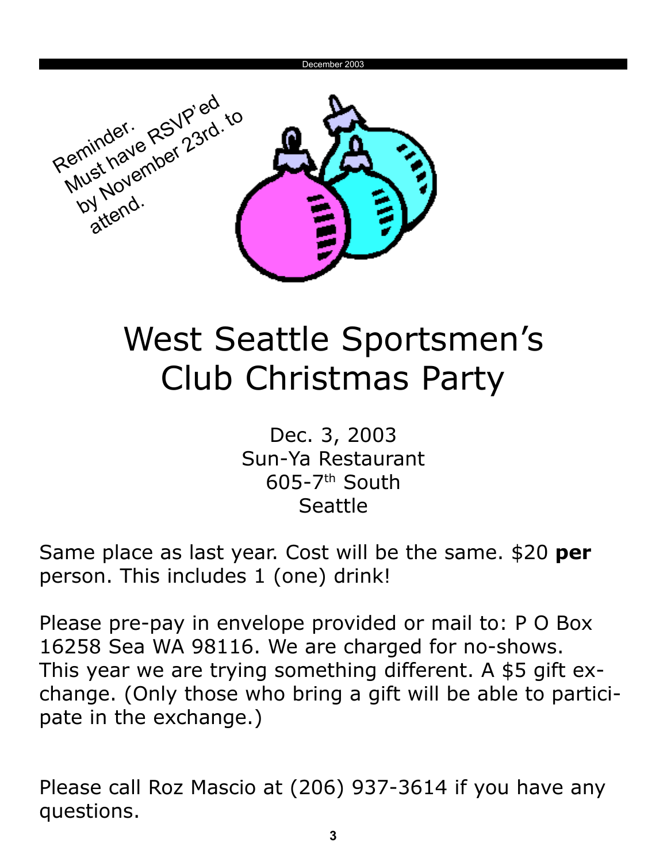

# West Seattle Sportsmen's Club Christmas Party

Dec. 3, 2003 Sun-Ya Restaurant  $605-7$ <sup>th</sup> South Seattle

Same place as last year. Cost will be the same. \$20 **per** person. This includes 1 (one) drink!

Please pre-pay in envelope provided or mail to: P O Box 16258 Sea WA 98116. We are charged for no-shows. This year we are trying something different. A \$5 gift exchange. (Only those who bring a gift will be able to participate in the exchange.)

Please call Roz Mascio at (206) 937-3614 if you have any questions.